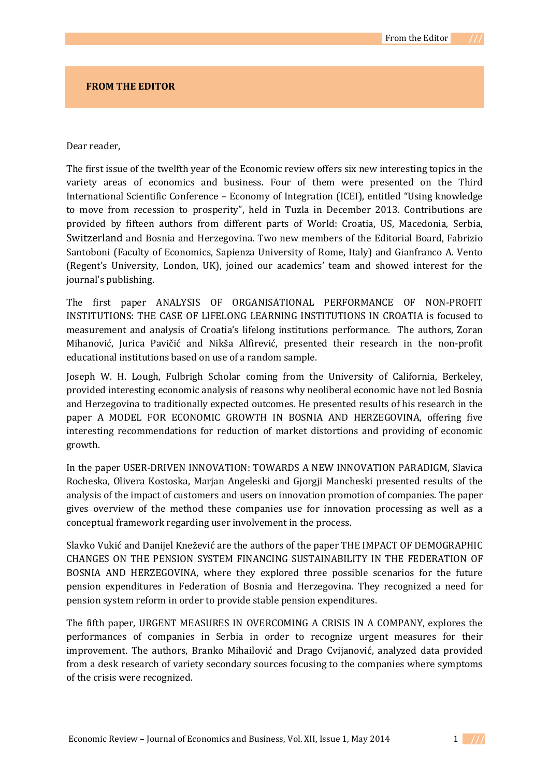## **FROM THE EDITOR**

## Dear reader,

The first issue of the twelfth year of the Economic review offers six new interesting topics in the variety areas of economics and business. Four of them were presented on the Third International Scientific Conference – Economy of Integration (ICEI), entitled "Using knowledge to move from recession to prosperity", held in Tuzla in December 2013. Contributions are provided by fifteen authors from different parts of World: Croatia, US, Macedonia, Serbia, Switzerland and Bosnia and Herzegovina. Two new members of the Editorial Board, Fabrizio Santoboni (Faculty of Economics, Sapienza University of Rome, Italy) and Gianfranco A. Vento (Regent's University, London, UK), joined our academics' team and showed interest for the journal's publishing.

The first paper ANALYSIS OF ORGANISATIONAL PERFORMANCE OF NON-PROFIT INSTITUTIONS: THE CASE OF LIFELONG LEARNING INSTITUTIONS IN CROATIA is focused to measurement and analysis of Croatia's lifelong institutions performance. The authors, Zoran Mihanović, Jurica Pavičić and Nikša Alfirević, presented their research in the non-profit educational institutions based on use of a random sample.

Joseph W. H. Lough, Fulbrigh Scholar coming from the University of California, Berkeley, provided interesting economic analysis of reasons why neoliberal economic have not led Bosnia and Herzegovina to traditionally expected outcomes. He presented results of his research in the paper A MODEL FOR ECONOMIC GROWTH IN BOSNIA AND HERZEGOVINA, offering five interesting recommendations for reduction of market distortions and providing of economic growth.

In the paper USER-DRIVEN INNOVATION: TOWARDS A NEW INNOVATION PARADIGM, Slavica Rocheska, Olivera Kostoska, Marjan Angeleski and Gjorgji Mancheski presented results of the analysis of the impact of customers and users on innovation promotion of companies. The paper gives overview of the method these companies use for innovation processing as well as a conceptual framework regarding user involvement in the process.

Slavko Vukić and Danijel Knežević are the authors of the paper THE IMPACT OF DEMOGRAPHIC CHANGES ON THE PENSION SYSTEM FINANCING SUSTAINABILITY IN THE FEDERATION OF BOSNIA AND HERZEGOVINA, where they explored three possible scenarios for the future pension expenditures in Federation of Bosnia and Herzegovina. They recognized a need for pension system reform in order to provide stable pension expenditures.

The fifth paper, URGENT MEASURES IN OVERCOMING A CRISIS IN A COMPANY, explores the performances of companies in Serbia in order to recognize urgent measures for their improvement. The authors, Branko Mihailović and Drago Cvijanović, analyzed data provided from a desk research of variety secondary sources focusing to the companies where symptoms of the crisis were recognized.